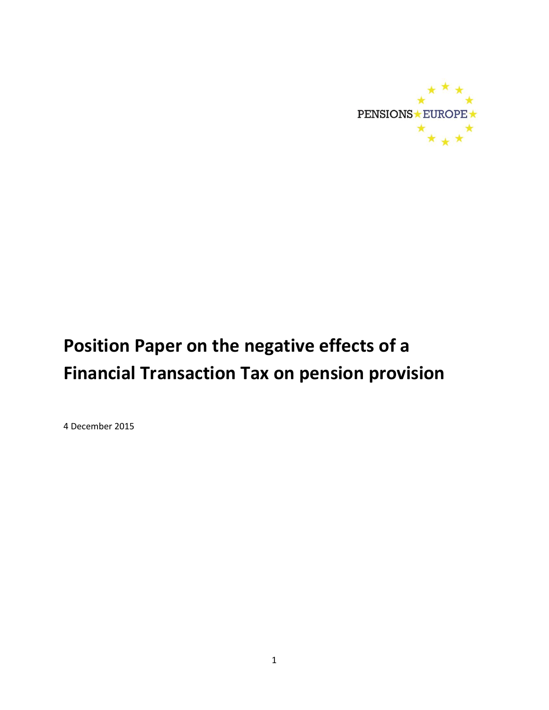

# **Position Paper on the negative effects of a Financial Transaction Tax on pension provision**

4 December 2015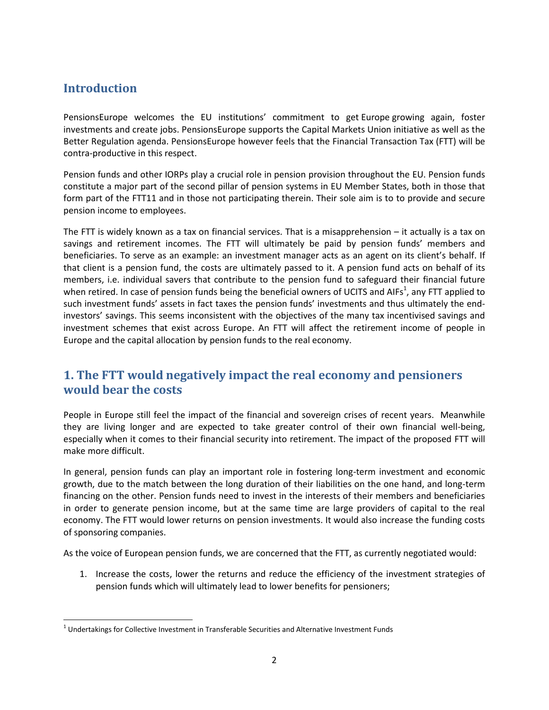## **Introduction**

PensionsEurope welcomes the EU institutions' commitment to get Europe growing again, foster investments and create jobs. PensionsEurope supports the Capital Markets Union initiative as well as the Better Regulation agenda. PensionsEurope however feels that the Financial Transaction Tax (FTT) will be contra-productive in this respect.

Pension funds and other IORPs play a crucial role in pension provision throughout the EU. Pension funds constitute a major part of the second pillar of pension systems in EU Member States, both in those that form part of the FTT11 and in those not participating therein. Their sole aim is to to provide and secure pension income to employees.

The FTT is widely known as a tax on financial services. That is a misapprehension – it actually is a tax on savings and retirement incomes. The FTT will ultimately be paid by pension funds' members and beneficiaries. To serve as an example: an investment manager acts as an agent on its client's behalf. If that client is a pension fund, the costs are ultimately passed to it. A pension fund acts on behalf of its members, i.e. individual savers that contribute to the pension fund to safeguard their financial future when retired. In case of pension funds being the beneficial owners of UCITS and AIFs<sup>1</sup>, any FTT applied to such investment funds' assets in fact taxes the pension funds' investments and thus ultimately the endinvestors' savings. This seems inconsistent with the objectives of the many tax incentivised savings and investment schemes that exist across Europe. An FTT will affect the retirement income of people in Europe and the capital allocation by pension funds to the real economy.

#### **1. The FTT would negatively impact the real economy and pensioners would bear the costs**

People in Europe still feel the impact of the financial and sovereign crises of recent years. Meanwhile they are living longer and are expected to take greater control of their own financial well-being, especially when it comes to their financial security into retirement. The impact of the proposed FTT will make more difficult.

In general, pension funds can play an important role in fostering long-term investment and economic growth, due to the match between the long duration of their liabilities on the one hand, and long-term financing on the other. Pension funds need to invest in the interests of their members and beneficiaries in order to generate pension income, but at the same time are large providers of capital to the real economy. The FTT would lower returns on pension investments. It would also increase the funding costs of sponsoring companies.

As the voice of European pension funds, we are concerned that the FTT, as currently negotiated would:

1. Increase the costs, lower the returns and reduce the efficiency of the investment strategies of pension funds which will ultimately lead to lower benefits for pensioners;

 1 Undertakings for Collective Investment in Transferable Securities and Alternative Investment Funds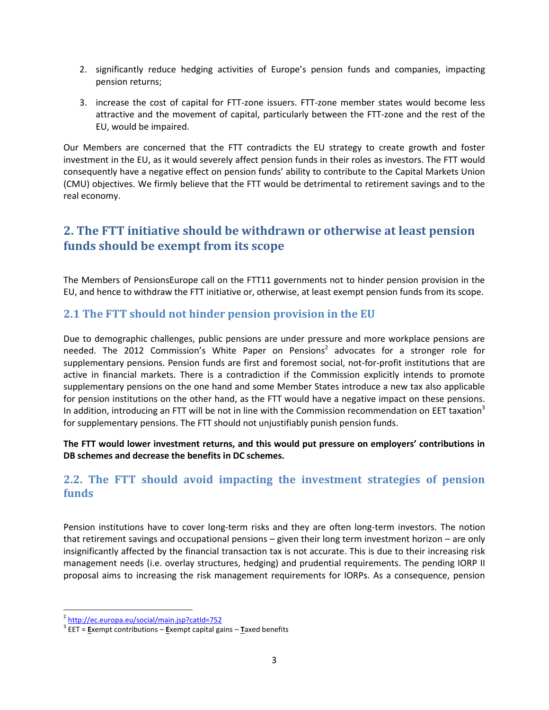- 2. significantly reduce hedging activities of Europe's pension funds and companies, impacting pension returns;
- 3. increase the cost of capital for FTT-zone issuers. FTT-zone member states would become less attractive and the movement of capital, particularly between the FTT-zone and the rest of the EU, would be impaired.

Our Members are concerned that the FTT contradicts the EU strategy to create growth and foster investment in the EU, as it would severely affect pension funds in their roles as investors. The FTT would consequently have a negative effect on pension funds' ability to contribute to the Capital Markets Union (CMU) objectives. We firmly believe that the FTT would be detrimental to retirement savings and to the real economy.

## **2. The FTT initiative should be withdrawn or otherwise at least pension funds should be exempt from its scope**

The Members of PensionsEurope call on the FTT11 governments not to hinder pension provision in the EU, and hence to withdraw the FTT initiative or, otherwise, at least exempt pension funds from its scope.

#### **2.1 The FTT should not hinder pension provision in the EU**

Due to demographic challenges, public pensions are under pressure and more workplace pensions are needed. The 2012 Commission's White Paper on Pensions<sup>2</sup> advocates for a stronger role for supplementary pensions. Pension funds are first and foremost social, not-for-profit institutions that are active in financial markets. There is a contradiction if the Commission explicitly intends to promote supplementary pensions on the one hand and some Member States introduce a new tax also applicable for pension institutions on the other hand, as the FTT would have a negative impact on these pensions. In addition, introducing an FTT will be not in line with the Commission recommendation on EET taxation<sup>3</sup> for supplementary pensions. The FTT should not unjustifiably punish pension funds.

**The FTT would lower investment returns, and this would put pressure on employers' contributions in DB schemes and decrease the benefits in DC schemes.**

#### **2.2. The FTT should avoid impacting the investment strategies of pension funds**

Pension institutions have to cover long-term risks and they are often long-term investors. The notion that retirement savings and occupational pensions – given their long term investment horizon – are only insignificantly affected by the financial transaction tax is not accurate. This is due to their increasing risk management needs (i.e. overlay structures, hedging) and prudential requirements. The pending IORP II proposal aims to increasing the risk management requirements for IORPs. As a consequence, pension

 $\ddot{\phantom{a}}$ 

<sup>2</sup> <http://ec.europa.eu/social/main.jsp?catId=752>

<sup>3</sup> EET = **E**xempt contributions – **E**xempt capital gains – **T**axed benefits